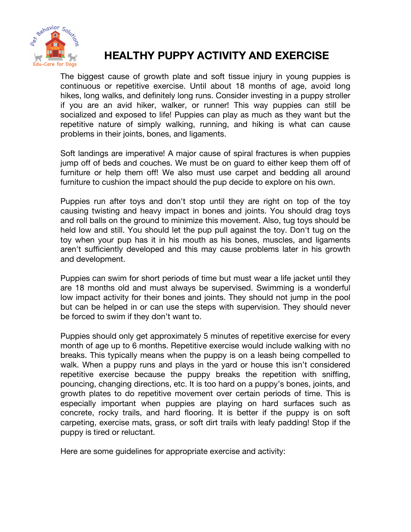

# **HEALTHY PUPPY ACTIVITY AND EXERCISE**

The biggest cause of growth plate and soft tissue injury in young puppies is continuous or repetitive exercise. Until about 18 months of age, avoid long hikes, long walks, and definitely long runs. Consider investing in a puppy stroller if you are an avid hiker, walker, or runner! This way puppies can still be socialized and exposed to life! Puppies can play as much as they want but the repetitive nature of simply walking, running, and hiking is what can cause problems in their joints, bones, and ligaments.

Soft landings are imperative! A major cause of spiral fractures is when puppies jump off of beds and couches. We must be on guard to either keep them off of furniture or help them off! We also must use carpet and bedding all around furniture to cushion the impact should the pup decide to explore on his own.

Puppies run after toys and don't stop until they are right on top of the toy causing twisting and heavy impact in bones and joints. You should drag toys and roll balls on the ground to minimize this movement. Also, tug toys should be held low and still. You should let the pup pull against the toy. Don't tug on the toy when your pup has it in his mouth as his bones, muscles, and ligaments aren't sufficiently developed and this may cause problems later in his growth and development.

Puppies can swim for short periods of time but must wear a life jacket until they are 18 months old and must always be supervised. Swimming is a wonderful low impact activity for their bones and joints. They should not jump in the pool but can be helped in or can use the steps with supervision. They should never be forced to swim if they don't want to.

Puppies should only get approximately 5 minutes of repetitive exercise for every month of age up to 6 months. Repetitive exercise would include walking with no breaks. This typically means when the puppy is on a leash being compelled to walk. When a puppy runs and plays in the yard or house this isn't considered repetitive exercise because the puppy breaks the repetition with sniffing, pouncing, changing directions, etc. It is too hard on a puppy's bones, joints, and growth plates to do repetitive movement over certain periods of time. This is especially important when puppies are playing on hard surfaces such as concrete, rocky trails, and hard flooring. It is better if the puppy is on soft carpeting, exercise mats, grass, or soft dirt trails with leafy padding! Stop if the puppy is tired or reluctant.

Here are some guidelines for appropriate exercise and activity: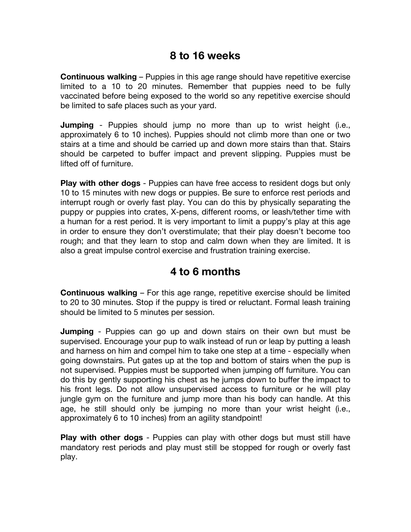#### **8 to 16 weeks**

**Continuous walking** – Puppies in this age range should have repetitive exercise limited to a 10 to 20 minutes. Remember that puppies need to be fully vaccinated before being exposed to the world so any repetitive exercise should be limited to safe places such as your yard.

**Jumping** - Puppies should jump no more than up to wrist height (i.e., approximately 6 to 10 inches). Puppies should not climb more than one or two stairs at a time and should be carried up and down more stairs than that. Stairs should be carpeted to buffer impact and prevent slipping. Puppies must be lifted off of furniture.

**Play with other dogs** - Puppies can have free access to resident dogs but only 10 to 15 minutes with new dogs or puppies. Be sure to enforce rest periods and interrupt rough or overly fast play. You can do this by physically separating the puppy or puppies into crates, X-pens, different rooms, or leash/tether time with a human for a rest period. It is very important to limit a puppy's play at this age in order to ensure they don't overstimulate; that their play doesn't become too rough; and that they learn to stop and calm down when they are limited. It is also a great impulse control exercise and frustration training exercise.

## **4 to 6 months**

**Continuous walking** – For this age range, repetitive exercise should be limited to 20 to 30 minutes. Stop if the puppy is tired or reluctant. Formal leash training should be limited to 5 minutes per session.

**Jumping** - Puppies can go up and down stairs on their own but must be supervised. Encourage your pup to walk instead of run or leap by putting a leash and harness on him and compel him to take one step at a time - especially when going downstairs. Put gates up at the top and bottom of stairs when the pup is not supervised. Puppies must be supported when jumping off furniture. You can do this by gently supporting his chest as he jumps down to buffer the impact to his front legs. Do not allow unsupervised access to furniture or he will play jungle gym on the furniture and jump more than his body can handle. At this age, he still should only be jumping no more than your wrist height (i.e., approximately 6 to 10 inches) from an agility standpoint!

**Play with other dogs** - Puppies can play with other dogs but must still have mandatory rest periods and play must still be stopped for rough or overly fast play.